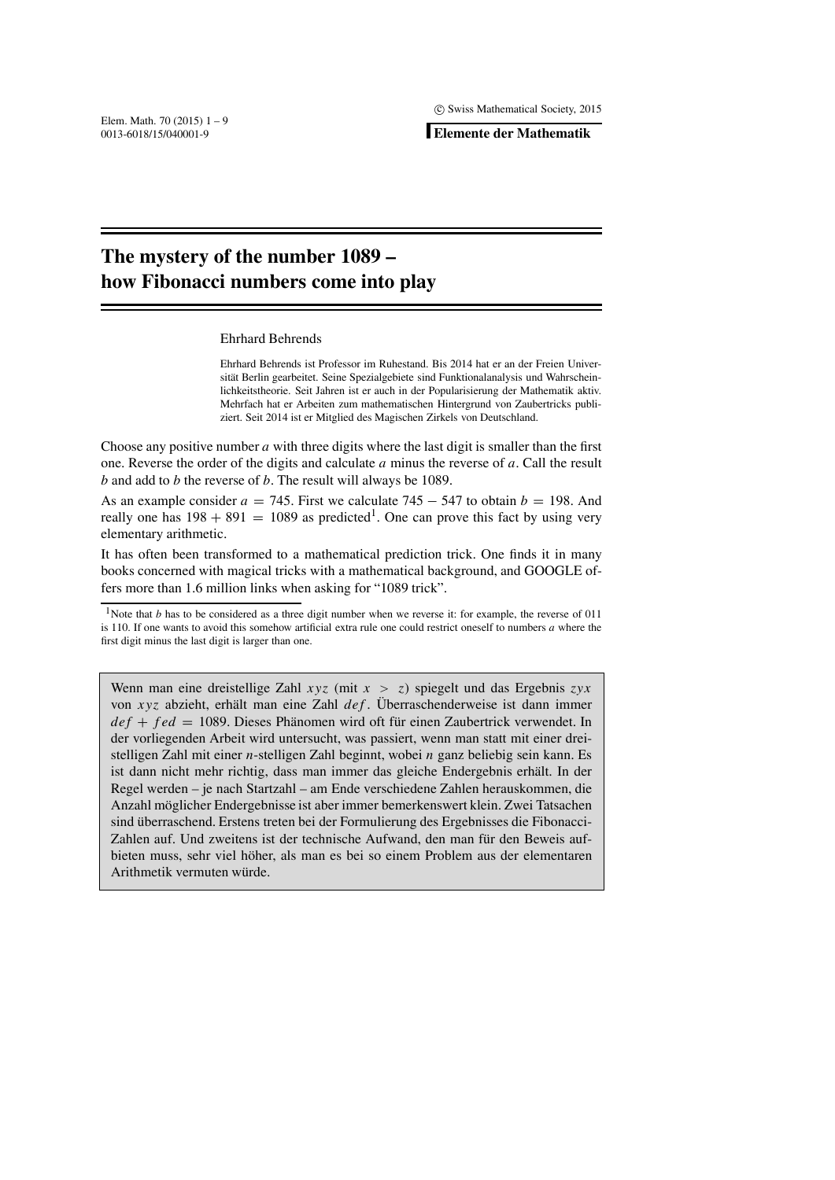.

**Elemente der Mathematik**

# **The mystery of the number 1089 – how Fibonacci numbers come into play**

### Ehrhard Behrends

Ehrhard Behrends ist Professor im Ruhestand. Bis 2014 hat er an der Freien Universität Berlin gearbeitet. Seine Spezialgebiete sind Funktionalanalysis und Wahrscheinlichkeitstheorie. Seit Jahren ist er auch in der Popularisierung der Mathematik aktiv. Mehrfach hat er Arbeiten zum mathematischen Hintergrund von Zaubertricks publiziert. Seit 2014 ist er Mitglied des Magischen Zirkels von Deutschland.

Choose any positive number *a* with three digits where the last digit is smaller than the first one. Reverse the order of the digits and calculate *a* minus the reverse of *a*. Call the result *b* and add to *b* the reverse of *b*. The result will always be 1089.

As an example consider  $a = 745$ . First we calculate  $745 - 547$  to obtain  $b = 198$ . And really one has  $198 + 891 = 1089$  as predicted<sup>1</sup>. One can prove this fact by using very elementary arithmetic.

It has often been transformed to a mathematical prediction trick. One finds it in many books concerned with magical tricks with a mathematical background, and GOOGLE offers more than 1.6 million links when asking for "1089 trick".

<sup>1</sup>Note that *b* has to be considered as a three digit number when we reverse it: for example, the reverse of 011 is 110. If one wants to avoid this somehow artificial extra rule one could restrict oneself to numbers *a* where the first digit minus the last digit is larger than one.

Wenn man eine dreistellige Zahl *xyz* (mit *x* > *z*) spiegelt und das Ergebnis *zyx* von *xyz* abzieht, erhält man eine Zahl *def*. Überraschenderweise ist dann immer *def* + *fed* = 1089. Dieses Phänomen wird oft für einen Zaubertrick verwendet. In der vorliegenden Arbeit wird untersucht, was passiert, wenn man statt mit einer dreistelligen Zahl mit einer *n*-stelligen Zahl beginnt, wobei *n* ganz beliebig sein kann. Es ist dann nicht mehr richtig, dass man immer das gleiche Endergebnis erhält. In der Regel werden – je nach Startzahl – am Ende verschiedene Zahlen herauskommen, die Anzahl möglicher Endergebnisse ist aber immer bemerkenswert klein. Zwei Tatsachen sind überraschend. Erstens treten bei der Formulierung des Ergebnisses die Fibonacci--Zahlen auf. Und zweitens ist der technische Aufwand, den man für den Beweis aufbieten muss, sehr viel höher, als man es bei so einem Problem aus der elementaren Arithmetik vermuten würde.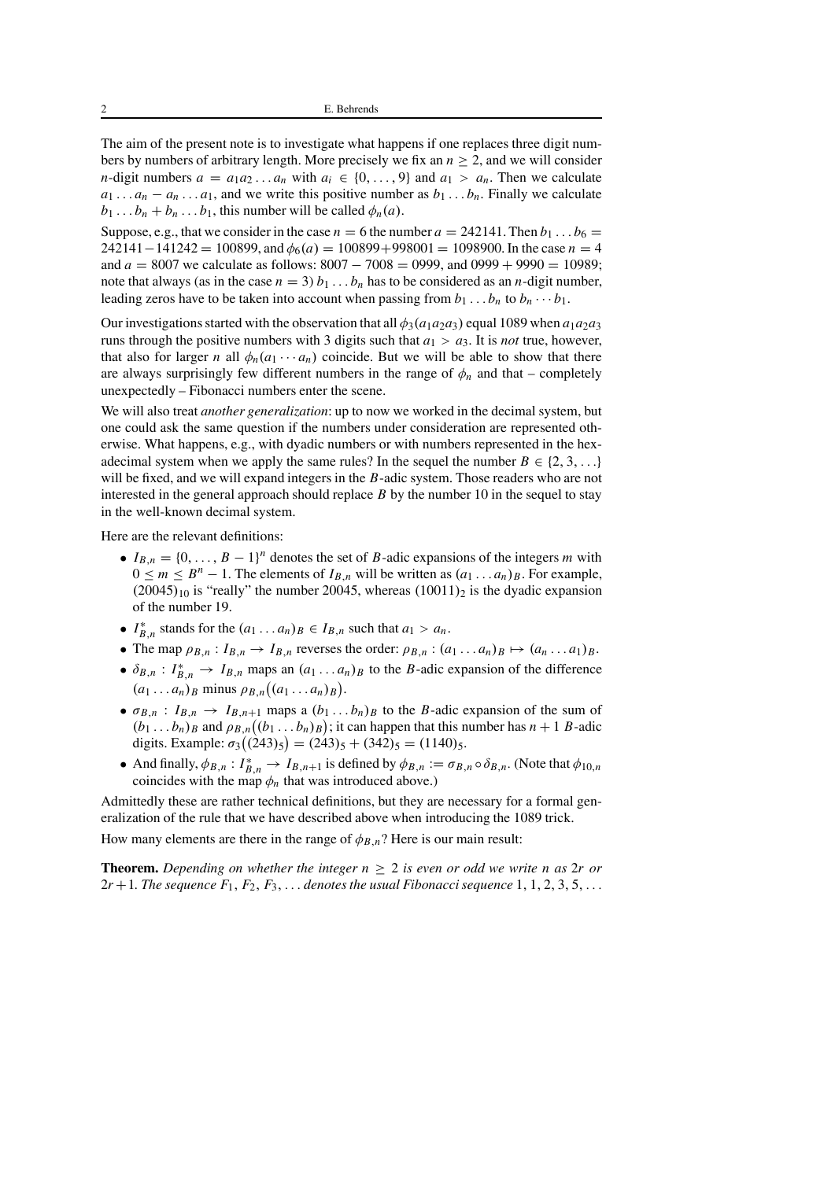The aim of the present note is to investigate what happens if one replaces three digit numbers by numbers of arbitrary length. More precisely we fix an  $n \geq 2$ , and we will consider *n*-digit numbers  $a = a_1 a_2 \dots a_n$  with  $a_i \in \{0, \dots, 9\}$  and  $a_1 > a_n$ . Then we calculate  $a_1 \ldots a_n - a_n \ldots a_1$ , and we write this positive number as  $b_1 \ldots b_n$ . Finally we calculate  $b_1 \ldots b_n + b_n \ldots b_1$ , this number will be called  $\phi_n(a)$ .

Suppose, e.g., that we consider in the case  $n = 6$  the number  $a = 242141$ . Then  $b_1 \dots b_6 =$ 242141−141242 = 100899, and  $φ_6(a) = 100899+998001 = 1098900$ . In the case *n* = 4 and *a* = 8007 we calculate as follows: 8007 − 7008 = 0999, and 0999 + 9990 = 10989; note that always (as in the case  $n = 3$ )  $b_1 \ldots b_n$  has to be considered as an *n*-digit number, leading zeros have to be taken into account when passing from  $b_1 \ldots b_n$  to  $b_n \cdots b_1$ .

Our investigations started with the observation that all  $\phi_3(a_1a_2a_3)$  equal 1089 when  $a_1a_2a_3$ runs through the positive numbers with 3 digits such that  $a_1 > a_3$ . It is *not* true, however, that also for larger *n* all  $\phi_n(a_1 \cdots a_n)$  coincide. But we will be able to show that there are always surprisingly few different numbers in the range of  $\phi_n$  and that – completely unexpectedly – Fibonacci numbers enter the scene.

We will also treat *another generalization*: up to now we worked in the decimal system, but one could ask the same question if the numbers under consideration are represented otherwise. What happens, e.g., with dyadic numbers or with numbers represented in the hexadecimal system when we apply the same rules? In the sequel the number  $B \in \{2, 3, \ldots\}$ will be fixed, and we will expand integers in the *B*-adic system. Those readers who are not interested in the general approach should replace *B* by the number 10 in the sequel to stay in the well-known decimal system.

Here are the relevant definitions:

- $I_{B,n} = \{0, \ldots, B-1\}^n$  denotes the set of *B*-adic expansions of the integers *m* with  $0 \le m \le B^n - 1$ . The elements of  $I_{B,n}$  will be written as  $(a_1 \ldots a_n)_B$ . For example,  $(20045)_{10}$  is "really" the number 20045, whereas  $(10011)_2$  is the dyadic expansion of the number 19.
- $I_{B,n}^*$  stands for the  $(a_1 \dots a_n)_B \in I_{B,n}$  such that  $a_1 > a_n$ .
- The map  $\rho_{B,n}: I_{B,n} \to I_{B,n}$  reverses the order:  $\rho_{B,n}: (a_1 \ldots a_n)_B \mapsto (a_n \ldots a_1)_B$ .
- $\delta_{B,n}$ :  $I_{B,n}^* \to I_{B,n}$  maps an  $(a_1 \dots a_n)_B$  to the *B*-adic expansion of the difference  $(a_1 \ldots a_n)_B$  minus  $\rho_{B,n}((a_1 \ldots a_n)_B)$ .
- $\sigma_{B,n}$ :  $I_{B,n} \rightarrow I_{B,n+1}$  maps a  $(b_1 \ldots b_n)_B$  to the *B*-adic expansion of the sum of  $(b_1 \ldots b_n)_B$  and  $\rho_{B,n}((b_1 \ldots b_n)_B)$ ; it can happen that this number has  $n+1$  *B*-adic digits. Example:  $\sigma_3((243)_5) = (243)_5 + (342)_5 = (1140)_5$ .
- And finally,  $\phi_{B,n}: I_{B,n}^* \to I_{B,n+1}$  is defined by  $\phi_{B,n} := \sigma_{B,n} \circ \delta_{B,n}$ . (Note that  $\phi_{10,n}$ coincides with the map  $\phi_n$  that was introduced above.)

Admittedly these are rather technical definitions, but they are necessary for a formal generalization of the rule that we have described above when introducing the 1089 trick.

How many elements are there in the range of  $\phi_{B,n}$ ? Here is our main result:

**Theorem.** *Depending on whether the integer n* ≥ 2 *is even or odd we write n as* 2*r or*  $2r+1$ . The sequence  $F_1, F_2, F_3, \ldots$  denotes the usual Fibonacci sequence 1, 1, 2, 3, 5,...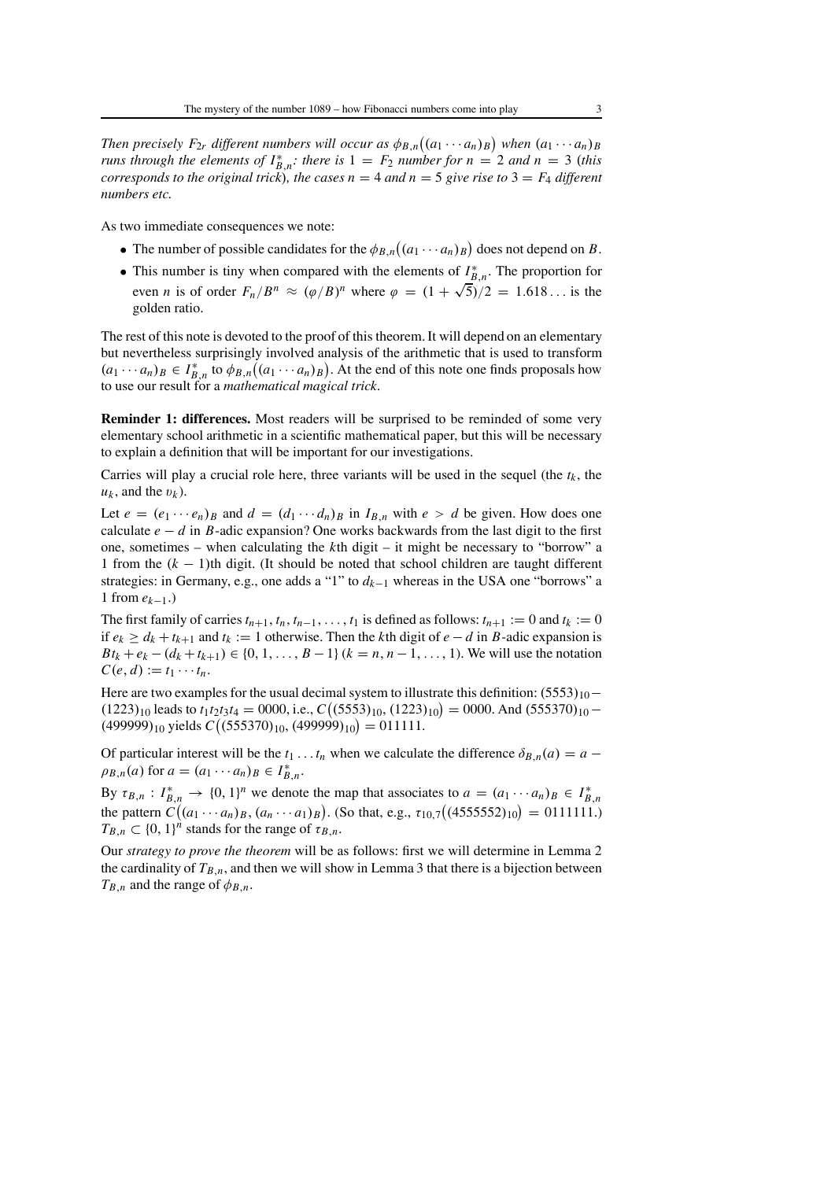*Then precisely F*<sub>2*r*</sub> *different numbers will occur as*  $\phi_{B,n}((a_1 \cdots a_n)_B)$  *when*  $(a_1 \cdots a_n)_B$ *runs through the elements of*  $I_{B,n}^*$ : *there is*  $1 = F_2$  *number for*  $n = 2$  *and*  $n = 3$  (*this corresponds to the original trick*)*, the cases n* = 4 *and n* = 5 *give rise to*  $3 = F_4$  *different numbers etc.*

As two immediate consequences we note:

- The number of possible candidates for the  $\phi_{B,n}((a_1 \cdots a_n)_B)$  does not depend on *B*.
- This number is tiny when compared with the elements of  $I_{B,n}^*$ . The proportion for even *n* is of order  $F_n/B^n \approx (\varphi/B)^n$  where  $\varphi = (1 + \sqrt{5})/2 = 1.618...$  is the golden ratio.

The rest of this note is devoted to the proof of this theorem. It will depend on an elementary but nevertheless surprisingly involved analysis of the arithmetic that is used to transform  $(a_1 \cdots a_n)_B \in I_{B,n}^*$  to  $\phi_{B,n}((a_1 \cdots a_n)_B)$ . At the end of this note one finds proposals how to use our result for a *mathematical magical trick*.

**Reminder 1: differences.** Most readers will be surprised to be reminded of some very elementary school arithmetic in a scientific mathematical paper, but this will be necessary to explain a definition that will be important for our investigations.

Carries will play a crucial role here, three variants will be used in the sequel (the  $t_k$ , the  $u_k$ , and the  $v_k$ ).

Let  $e = (e_1 \cdots e_n)_B$  and  $d = (d_1 \cdots d_n)_B$  in  $I_{B,n}$  with  $e > d$  be given. How does one calculate  $e - d$  in *B*-adic expansion? One works backwards from the last digit to the first one, sometimes – when calculating the *k*th digit – it might be necessary to "borrow" a 1 from the (*k* − 1)th digit. (It should be noted that school children are taught different strategies: in Germany, e.g., one adds a "1" to *dk*<sup>−</sup><sup>1</sup> whereas in the USA one "borrows" a 1 from *ek*−1.)

The first family of carries  $t_{n+1}, t_n, t_{n-1}, \ldots, t_1$  is defined as follows:  $t_{n+1} := 0$  and  $t_k := 0$ if  $e_k$  >  $d_k$  +  $t_{k+1}$  and  $t_k$  := 1 otherwise. Then the *k*th digit of  $e - d$  in *B*-adic expansion is  $Bt_k + e_k - (d_k + t_{k+1}) \in \{0, 1, \ldots, B-1\}$  ( $k = n, n-1, \ldots, 1$ ). We will use the notation  $C(e, d) := t_1 \cdots t_n.$ 

Here are two examples for the usual decimal system to illustrate this definition:  $(5553)_{10}$  –  $(1223)_{10}$  leads to  $t_1t_2t_3t_4 = 0000$ , i.e.,  $C((5553)_{10}, (1223)_{10}) = 0000$ . And  $(555370)_{10}$  –  $(499999)_{10}$  yields  $C((555370)_{10}, (499999)_{10}) = 011111$ .

Of particular interest will be the  $t_1 \nldots t_n$  when we calculate the difference  $\delta_{B,n}(a) = a \rho_{B,n}(a)$  for  $a = (a_1 \cdots a_n)_B \in I_{B,n}^*$ .

By  $\tau_{B,n}: I_{B,n}^* \to \{0, 1\}^n$  we denote the map that associates to  $a = (a_1 \cdots a_n)_B \in I_{B,n}^*$ the pattern  $C((a_1 \cdots a_n)_B, (a_n \cdots a_1)_B)$ . (So that, e.g.,  $\tau_{10,7}((4555552)_{10}) = 0111111$ .)  $T_{B,n} \subset \{0,1\}^n$  stands for the range of  $\tau_{B,n}$ .

Our *strategy to prove the theorem* will be as follows: first we will determine in Lemma 2 the cardinality of  $T_{B,n}$ , and then we will show in Lemma 3 that there is a bijection between  $T_{B,n}$  and the range of  $\phi_{B,n}$ .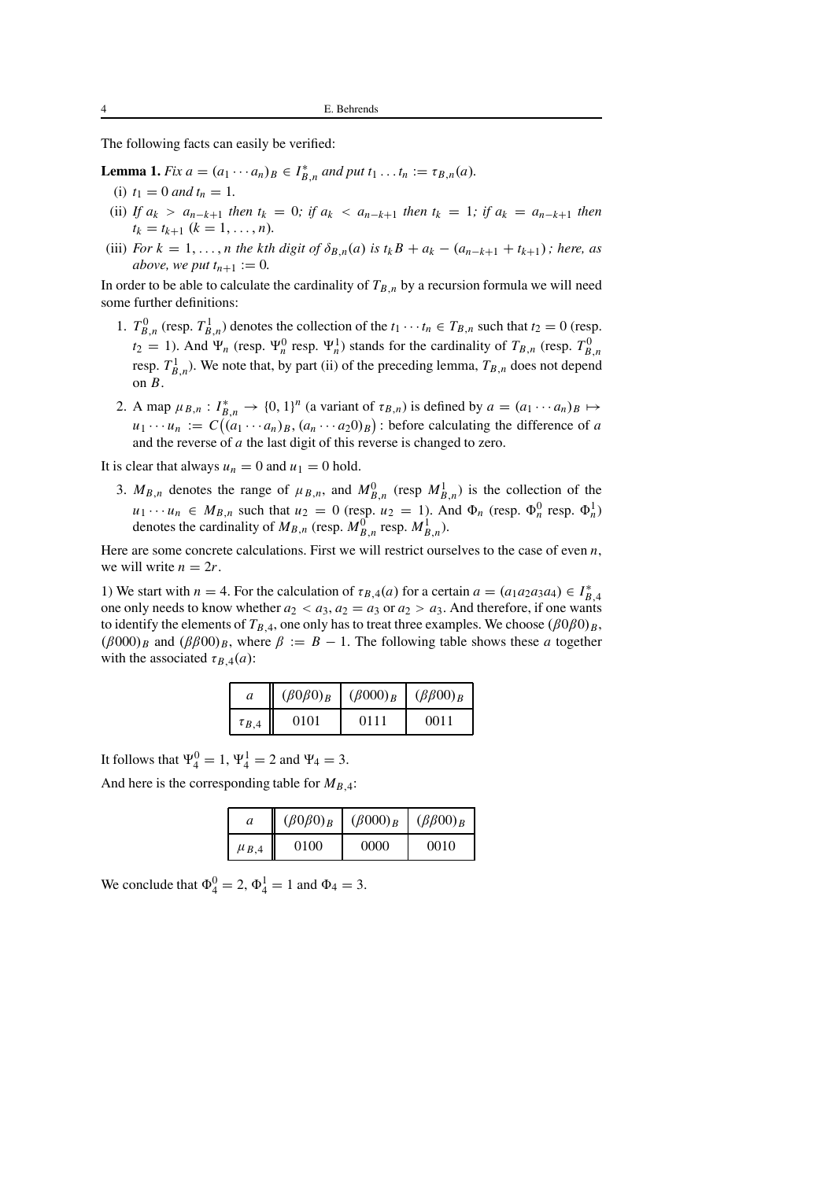The following facts can easily be verified:

**Lemma 1.** *Fix*  $a = (a_1 \cdots a_n)_B \in I_{B,n}^*$  *and put*  $t_1 \cdots t_n := \tau_{B,n}(a)$ *.* 

- (i)  $t_1 = 0$  *and*  $t_n = 1$ .
- (ii) *If*  $a_k > a_{n-k+1}$  *then*  $t_k = 0$ *; if*  $a_k < a_{n-k+1}$  *then*  $t_k = 1$ *; if*  $a_k = a_{n-k+1}$  *then*  $t_k = t_{k+1}$   $(k = 1, \ldots, n)$ .
- (iii) *For*  $k = 1, \ldots, n$  *the kth digit of*  $\delta_{B,n}(a)$  *is*  $t_k B + a_k (a_{n-k+1} + t_{k+1})$ *; here, as above, we put*  $t_{n+1} := 0$ *.*

In order to be able to calculate the cardinality of  $T_{B,n}$  by a recursion formula we will need some further definitions:

- 1.  $T_{B,n}^0$  (resp.  $T_{B,n}^1$ ) denotes the collection of the  $t_1 \cdots t_n \in T_{B,n}$  such that  $t_2 = 0$  (resp.  $t_2 = 1$ ). And  $\Psi_n$  (resp.  $\Psi_n^0$  resp.  $\Psi_n^1$ ) stands for the cardinality of  $T_{B,n}$  (resp.  $T_{B,n}^0$ resp.  $T_{B,n}^1$ ). We note that, by part (ii) of the preceding lemma,  $T_{B,n}$  does not depend on *B*.
- 2. A map  $\mu_{B,n}: I_{B,n}^* \to \{0, 1\}^n$  (a variant of  $\tau_{B,n}$ ) is defined by  $a = (a_1 \cdots a_n)_B \mapsto$  $u_1 \cdots u_n := C((a_1 \cdots a_n)_B, (a_n \cdots a_2 0)_B)$ : before calculating the difference of *a* and the reverse of *a* the last digit of this reverse is changed to zero.

It is clear that always  $u_n = 0$  and  $u_1 = 0$  hold.

3.  $M_{B,n}$  denotes the range of  $\mu_{B,n}$ , and  $M_{B,n}^0$  (resp  $M_{B,n}^1$ ) is the collection of the  $u_1 \cdots u_n \in M_{B,n}$  such that  $u_2 = 0$  (resp.  $u_2 = 1$ ). And  $\Phi_n$  (resp.  $\Phi_n^0$  resp.  $\Phi_n^1$ ) denotes the cardinality of  $M_{B,n}$  (resp.  $M_{B,n}^0$  resp.  $M_{B,n}^1$ ).

Here are some concrete calculations. First we will restrict ourselves to the case of even *n*, we will write  $n = 2r$ .

1) We start with  $n = 4$ . For the calculation of  $\tau_{B,4}(a)$  for a certain  $a = (a_1 a_2 a_3 a_4) \in I_{B,4}^*$ one only needs to know whether  $a_2 < a_3$ ,  $a_2 = a_3$  or  $a_2 > a_3$ . And therefore, if one wants to identify the elements of  $T_{B,4}$ , one only has to treat three examples. We choose  $(\beta 0\beta 0)_B$ ,  $(\beta 000)_B$  and  $(\beta \beta 00)_B$ , where  $\beta := B - 1$ . The following table shows these *a* together with the associated  $\tau_{B,4}(a)$ :

| a            | $(\beta 0 \beta 0)_B$ | $(\beta 000)_B$ | $(\beta \beta 00)_B$ |
|--------------|-----------------------|-----------------|----------------------|
| $\tau_{B,4}$ | 0101                  | 0111            | 0011                 |

It follows that  $\Psi_4^0 = 1$ ,  $\Psi_4^1 = 2$  and  $\Psi_4 = 3$ .

And here is the corresponding table for  $M_{B,4}$ :

| а           | $(\beta 0 \beta 0)_B$ | $(\beta 000)_B$ | $(\beta \beta 00)_B$ |  |  |
|-------------|-----------------------|-----------------|----------------------|--|--|
| $\mu_{B,4}$ | 0100                  | 0000            | 0010                 |  |  |

We conclude that  $\Phi_4^0 = 2$ ,  $\Phi_4^1 = 1$  and  $\Phi_4 = 3$ .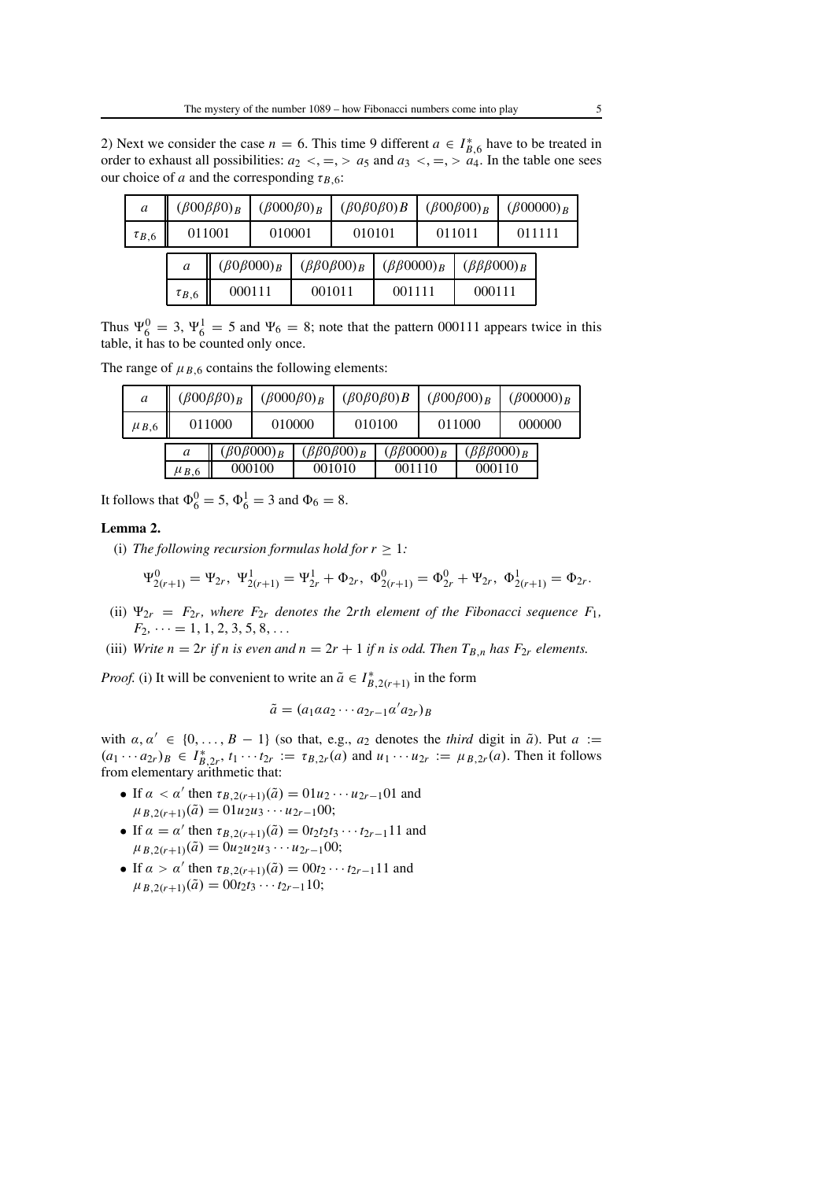2) Next we consider the case  $n = 6$ . This time 9 different  $a \in I_{B,6}^*$  have to be treated in order to exhaust all possibilities:  $a_2 <, =, > a_5$  and  $a_3 <, =, > a_4$ . In the table one sees our choice of *a* and the corresponding  $\tau_{B,6}$ :

| $\mathfrak a$ |              | $(\beta 00 \beta \beta 0)_B$ | $(\beta 000\beta 0)_B$ |  |                            | $(\beta 0 \beta 0 \beta 0) B$ |        | $(\beta 00\beta 00)_B$      |        | $(\beta 00000)_R$ |
|---------------|--------------|------------------------------|------------------------|--|----------------------------|-------------------------------|--------|-----------------------------|--------|-------------------|
| $\tau_{B,6}$  | 011001       |                              | 010001                 |  | 010101                     |                               | 011011 |                             | 011111 |                   |
|               | a            |                              | $(\beta 0\beta 000)_B$ |  | $(\beta\beta 0\beta 00)_B$ | $(\beta\beta0000)_B$          |        | $(\beta \beta \beta 000)_B$ |        |                   |
|               | $\tau_{B,6}$ |                              | 000111                 |  | 001011                     | 001111                        |        | 000111                      |        |                   |

Thus  $\Psi_6^0 = 3$ ,  $\Psi_6^1 = 5$  and  $\Psi_6 = 8$ ; note that the pattern 000111 appears twice in this table, it has to be counted only once.

The range of  $\mu_{B,6}$  contains the following elements:

| a           | $(\beta 00 \beta \beta 0)_B$ |        | $(\beta000\beta0)_B$             |  | $(\beta 0 \beta 0 \beta 0) B$        |                                | $(\beta 00\beta 00)_B$ |                                       | $(\beta 00000)_B$ |        |
|-------------|------------------------------|--------|----------------------------------|--|--------------------------------------|--------------------------------|------------------------|---------------------------------------|-------------------|--------|
| $\mu_{B,6}$ |                              | 011000 | 010000                           |  |                                      | 010100                         |                        | 011000                                |                   | 000000 |
|             | a<br>$\mu_{B,6}$             |        | $(\beta 0\beta 000)_B$<br>000100 |  | $(\beta\beta 0\beta 00)_B$<br>001010 | $(\beta\beta0000)_B$<br>001110 |                        | $(\beta \beta \beta 000)_B$<br>000110 |                   |        |

It follows that  $\Phi_6^0 = 5$ ,  $\Phi_6^1 = 3$  and  $\Phi_6 = 8$ .

## **Lemma 2.**

(i) *The following recursion formulas hold for*  $r \geq 1$ *:* 

$$
\Psi_{2(r+1)}^0 = \Psi_{2r}, \ \Psi_{2(r+1)}^1 = \Psi_{2r}^1 + \Phi_{2r}, \ \Phi_{2(r+1)}^0 = \Phi_{2r}^0 + \Psi_{2r}, \ \Phi_{2(r+1)}^1 = \Phi_{2r}.
$$

- (ii)  $\Psi_{2r} = F_{2r}$ , where  $F_{2r}$  denotes the 2rth element of the Fibonacci sequence  $F_1$ ,  $F_2, \dots = 1, 1, 2, 3, 5, 8, \dots$
- (iii) *Write n* = 2*r* if *n* is even and  $n = 2r + 1$  if *n* is odd. Then  $T_{B,n}$  has  $F_{2r}$  elements.

*Proof.* (i) It will be convenient to write an  $\tilde{a} \in I_{B,2(r+1)}^*$  in the form

$$
\tilde{a} = (a_1 \alpha a_2 \cdots a_{2r-1} \alpha' a_{2r})_B
$$

with  $\alpha, \alpha' \in \{0, \ldots, B - 1\}$  (so that, e.g.,  $a_2$  denotes the *third* digit in  $\tilde{a}$ ). Put  $a :=$  $(a_1 \cdots a_{2r})_B \in I_{B,2r}^*$ ,  $t_1 \cdots t_{2r} := \tau_{B,2r}(a)$  and  $u_1 \cdots u_{2r} := \mu_{B,2r}(a)$ . Then it follows from elementary arithmetic that:

- If  $\alpha < \alpha'$  then  $\tau_{B,2(r+1)}(\tilde{a}) = 01u_2 \cdots u_{2r-1}01$  and  $\mu_{B,2(r+1)}(\tilde{a}) = 01u_2u_3 \cdots u_{2r-1}00;$
- If  $\alpha = \alpha'$  then  $\tau_{B,2(r+1)}(\tilde{a}) = 0$ *t*<sub>2</sub>*t*<sub>2</sub>*t*<sub>3</sub> ··· *t*<sub>2*r*-1</sub>11 and  $\mu_{B,2(r+1)}(\tilde{a}) = 0u_2u_2u_3 \cdots u_{2r-1}00;$
- If  $\alpha > \alpha'$  then  $\tau_{B,2(r+1)}(\tilde{a}) = 0$  0*t*<sub>2</sub> · · · *t*<sub>2*r*-1</sub>11 and  $\mu_{B,2(r+1)}(\tilde{a}) = 00t_2t_3 \cdots t_{2r-1}10;$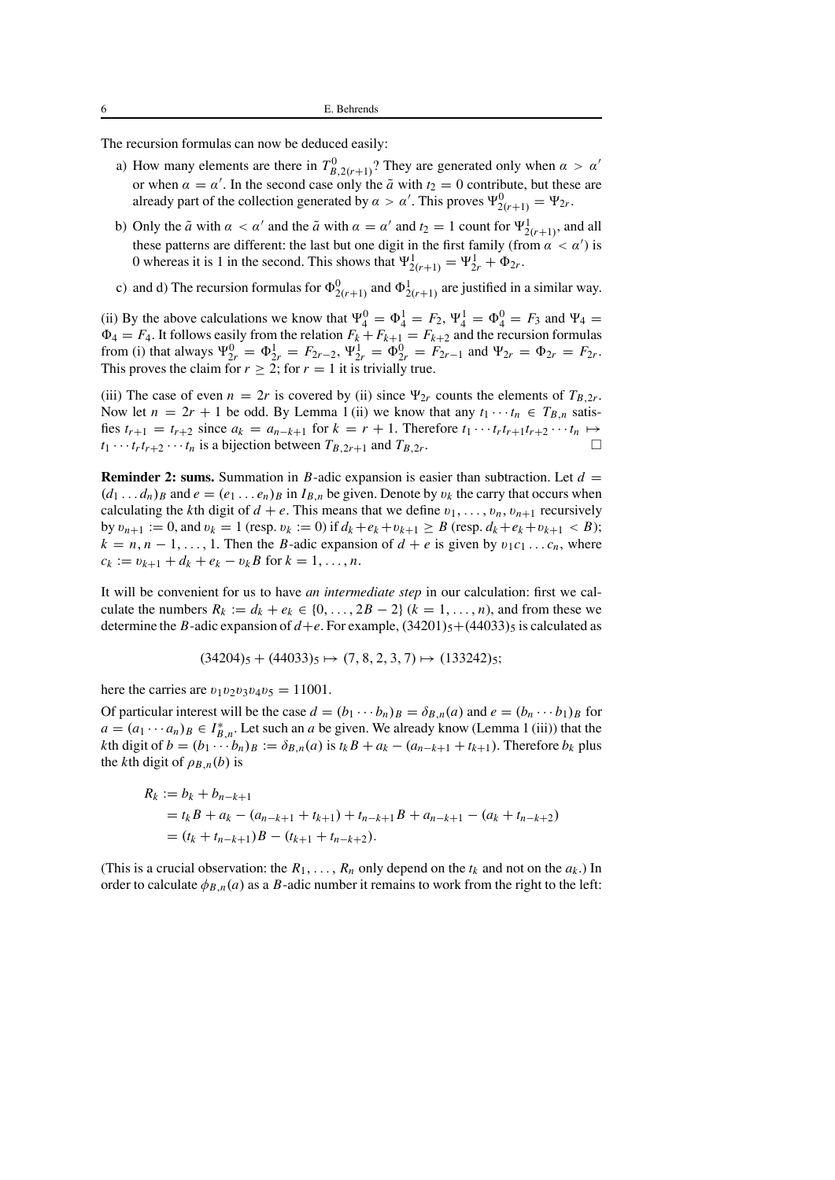The recursion formulas can now be deduced easily:

- a) How many elements are there in  $T_{B,2(r+1)}^0$ ? They are generated only when  $\alpha > \alpha'$ or when  $\alpha = \alpha'$ . In the second case only the  $\tilde{a}$  with  $t_2 = 0$  contribute, but these are already part of the collection generated by  $\alpha > \alpha'$ . This proves  $\Psi^0_{2(r+1)} = \Psi_{2r}$ .
- b) Only the  $\tilde{a}$  with  $\alpha < \alpha'$  and the  $\tilde{a}$  with  $\alpha = \alpha'$  and  $t_2 = 1$  count for  $\Psi^1_{2(r+1)}$ , and all these patterns are different: the last but one digit in the first family (from  $\alpha' < \alpha'$ ) is 0 whereas it is 1 in the second. This shows that  $\Psi^1_{2(r+1)} = \Psi^1_{2r} + \Phi_{2r}$ .
- c) and d) The recursion formulas for  $\Phi_{2(r+1)}^0$  and  $\Phi_{2(r+1)}^1$  are justified in a similar way.

(ii) By the above calculations we know that  $\Psi_4^0 = \Phi_4^1 = F_2$ ,  $\Psi_4^1 = \Phi_4^0 = F_3$  and  $\Psi_4 =$  $\Phi_4 = F_4$ . It follows easily from the relation  $F_k + F_{k+1} = F_{k+2}$  and the recursion formulas from (i) that always  $\Psi_{2r}^0 = \Phi_{2r}^1 = F_{2r-2}$ ,  $\Psi_{2r}^1 = \Phi_{2r}^0 = F_{2r-1}$  and  $\Psi_{2r} = \Phi_{2r} = F_{2r}$ . This proves the claim for  $r \geq 2$ ; for  $r = 1$  it is trivially true.

(iii) The case of even  $n = 2r$  is covered by (ii) since  $\Psi_{2r}$  counts the elements of  $T_{B,2r}$ . Now let  $n = 2r + 1$  be odd. By Lemma 1 (ii) we know that any  $t_1 \cdots t_n \in T_{B,n}$  satisfies  $t_{r+1} = t_{r+2}$  since  $a_k = a_{n-k+1}$  for  $k = r+1$ . Therefore  $t_1 \cdots t_r t_{r+1} t_{r+2} \cdots t_n \mapsto$  $t_1 \cdots t_r t_{r+2} \cdots t_n$  is a bijection between  $T_{B,2r+1}$  and  $T_{B,2r}$ .

**Reminder 2: sums.** Summation in *B*-adic expansion is easier than subtraction. Let  $d =$  $(d_1 \ldots d_n)_B$  and  $e = (e_1 \ldots e_n)_B$  in  $I_{B,n}$  be given. Denote by  $v_k$  the carry that occurs when calculating the *k*th digit of  $d + e$ . This means that we define  $v_1, \ldots, v_n, v_{n+1}$  recursively by  $v_{n+1} := 0$ , and  $v_k = 1$  (resp.  $v_k := 0$ ) if  $d_k + e_k + v_{k+1} \ge B$  (resp.  $d_k + e_k + v_{k+1} < B$ );  $k = n, n - 1, \ldots, 1$ . Then the *B*-adic expansion of  $d + e$  is given by  $v_1 c_1 \ldots c_n$ , where  $c_k := v_{k+1} + d_k + e_k - v_k B$  for  $k = 1, ..., n$ .

It will be convenient for us to have *an intermediate step* in our calculation: first we calculate the numbers  $R_k := d_k + e_k \in \{0, \ldots, 2B - 2\}$  ( $k = 1, \ldots, n$ ), and from these we determine the *B*-adic expansion of  $d+e$ . For example,  $(34201)_5+(44033)_5$  is calculated as

$$
(34204)_5 + (44033)_5 \mapsto (7, 8, 2, 3, 7) \mapsto (133242)_5;
$$

here the carries are  $v_1v_2v_3v_4v_5 = 11001$ .

Of particular interest will be the case  $d = (b_1 \cdots b_n)_B = \delta_{B,n}(a)$  and  $e = (b_n \cdots b_1)_B$  for  $a = (a_1 \cdots a_n)_B \in I_{B,n}^*$ . Let such an *a* be given. We already know (Lemma 1 (iii)) that the *k*th digit of  $b = (b_1 \cdots b_n)_B := \delta_{B,n}(a)$  is  $t_k B + a_k - (a_{n-k+1} + t_{k+1})$ . Therefore  $b_k$  plus the *k*th digit of  $\rho_{B,n}(b)$  is

$$
R_k := b_k + b_{n-k+1}
$$
  
=  $t_k B + a_k - (a_{n-k+1} + t_{k+1}) + t_{n-k+1}B + a_{n-k+1} - (a_k + t_{n-k+2})$   
=  $(t_k + t_{n-k+1})B - (t_{k+1} + t_{n-k+2}).$ 

(This is a crucial observation: the  $R_1, \ldots, R_n$  only depend on the  $t_k$  and not on the  $a_k$ .) In order to calculate  $\phi_{B,n}(a)$  as a *B*-adic number it remains to work from the right to the left: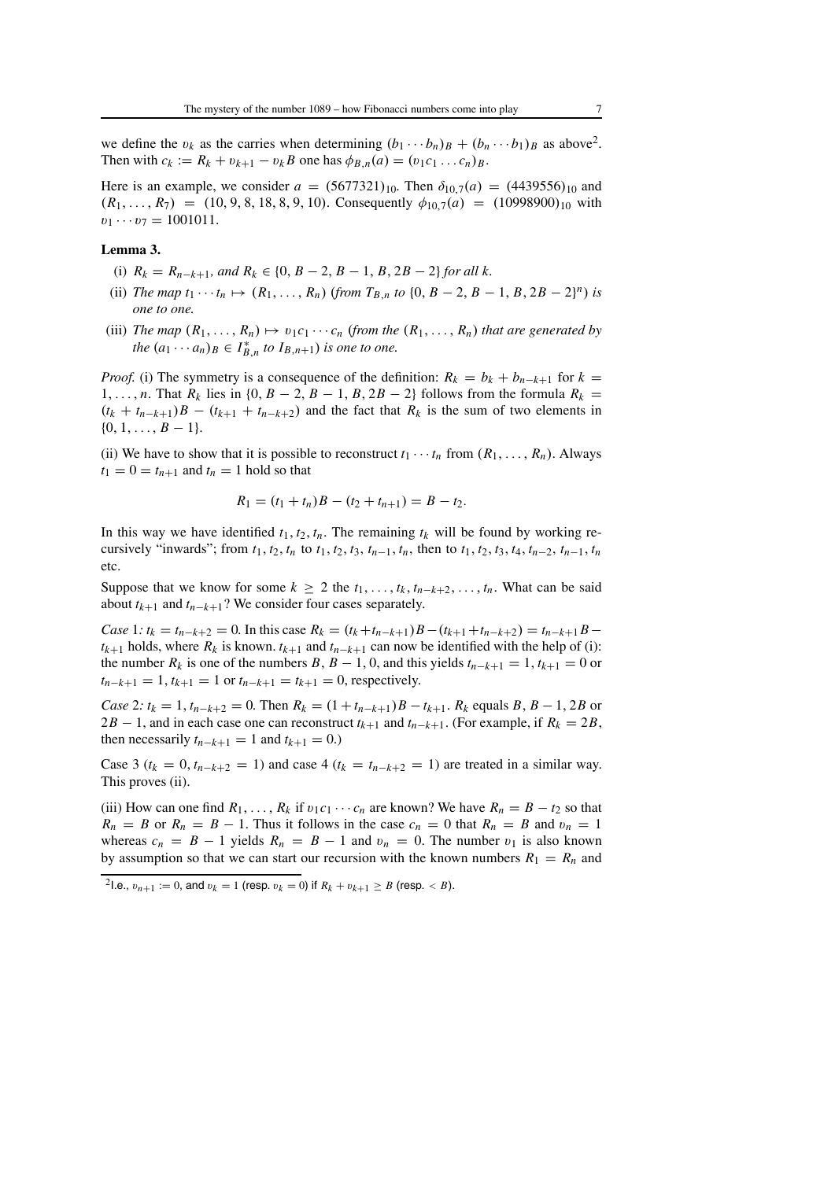we define the  $v_k$  as the carries when determining  $(b_1 \cdots b_n)_B + (b_n \cdots b_1)_B$  as above<sup>2</sup>. Then with  $c_k := R_k + v_{k+1} - v_k B$  one has  $\phi_{B,n}(a) = (v_1 c_1 \dots c_n) B$ .

Here is an example, we consider  $a = (5677321)_{10}$ . Then  $\delta_{10,7}(a) = (4439556)_{10}$  and  $(R_1, \ldots, R_7) = (10, 9, 8, 18, 8, 9, 10)$ . Consequently  $\phi_{10,7}(a) = (10998900)_{10}$  with  $v_1 \cdots v_7 = 1001011.$ 

#### **Lemma 3.**

- (i)  $R_k = R_{n-k+1}$ , and  $R_k \in \{0, B-2, B-1, B, 2B-2\}$  for all k.
- (ii) *The map*  $t_1 \cdots t_n \mapsto (R_1, \ldots, R_n)$  (*from*  $T_{B,n}$  *to*  $\{0, B-2, B-1, B, 2B-2\}^n$ ) *is one to one.*
- (iii) *The map*  $(R_1, \ldots, R_n) \mapsto v_1c_1 \cdots c_n$  (from the  $(R_1, \ldots, R_n)$  that are generated by *the*  $(a_1 \cdots a_n)_B \in I_{B,n}^*$  *to*  $I_{B,n+1}$ *) is one to one.*

*Proof.* (i) The symmetry is a consequence of the definition:  $R_k = b_k + b_{n-k+1}$  for  $k =$ 1,..., *n*. That  $R_k$  lies in {0,  $B - 2$ ,  $B - 1$ ,  $B$ ,  $2B - 2$ } follows from the formula  $R_k =$  $(t_k + t_{n-k+1})B - (t_{k+1} + t_{n-k+2})$  and the fact that  $R_k$  is the sum of two elements in  $\{0, 1, \ldots, B-1\}.$ 

(ii) We have to show that it is possible to reconstruct  $t_1 \cdots t_n$  from  $(R_1, \ldots, R_n)$ . Always  $t_1 = 0 = t_{n+1}$  and  $t_n = 1$  hold so that

$$
R_1 = (t_1 + t_n)B - (t_2 + t_{n+1}) = B - t_2.
$$

In this way we have identified  $t_1, t_2, t_n$ . The remaining  $t_k$  will be found by working recursively "inwards"; from  $t_1, t_2, t_n$  to  $t_1, t_2, t_3, t_{n-1}, t_n$ , then to  $t_1, t_2, t_3, t_4, t_{n-2}, t_{n-1}, t_n$ etc.

Suppose that we know for some  $k \geq 2$  the  $t_1, \ldots, t_k, t_{n-k+2}, \ldots, t_n$ . What can be said about  $t_{k+1}$  and  $t_{n-k+1}$ ? We consider four cases separately.

*Case* 1*:*  $t_k = t_{n-k+2} = 0$ . In this case  $R_k = (t_k + t_{n-k+1})B - (t_{k+1} + t_{n-k+2}) = t_{n-k+1}B$  $t_{k+1}$  holds, where  $R_k$  is known.  $t_{k+1}$  and  $t_{n-k+1}$  can now be identified with the help of (i): the number  $R_k$  is one of the numbers  $B, B - 1, 0$ , and this yields  $t_{n-k+1} = 1, t_{k+1} = 0$  or  $t_{n-k+1} = 1$ ,  $t_{k+1} = 1$  or  $t_{n-k+1} = t_{k+1} = 0$ , respectively.

*Case* 2*:*  $t_k = 1$ ,  $t_{n-k+2} = 0$ . Then  $R_k = (1 + t_{n-k+1})B - t_{k+1}$ .  $R_k$  equals  $B, B - 1, 2B$  or 2*B* − 1, and in each case one can reconstruct  $t_{k+1}$  and  $t_{n-k+1}$ . (For example, if  $R_k = 2B$ , then necessarily  $t_{n-k+1} = 1$  and  $t_{k+1} = 0$ .)

Case 3 ( $t_k = 0$ ,  $t_{n-k+2} = 1$ ) and case 4 ( $t_k = t_{n-k+2} = 1$ ) are treated in a similar way. This proves (ii).

(iii) How can one find  $R_1, \ldots, R_k$  if  $v_1c_1 \cdots c_n$  are known? We have  $R_n = B - t_2$  so that  $R_n = B$  or  $R_n = B - 1$ . Thus it follows in the case  $c_n = 0$  that  $R_n = B$  and  $v_n = 1$ whereas  $c_n = B - 1$  yields  $R_n = B - 1$  and  $v_n = 0$ . The number  $v_1$  is also known by assumption so that we can start our recursion with the known numbers  $R_1 = R_n$  and

<sup>2</sup>I.e.,  $v_{n+1} := 0$ , and  $v_k = 1$  (resp.  $v_k = 0$ ) if  $R_k + v_{k+1} \ge B$  (resp.  $\lt B$ ).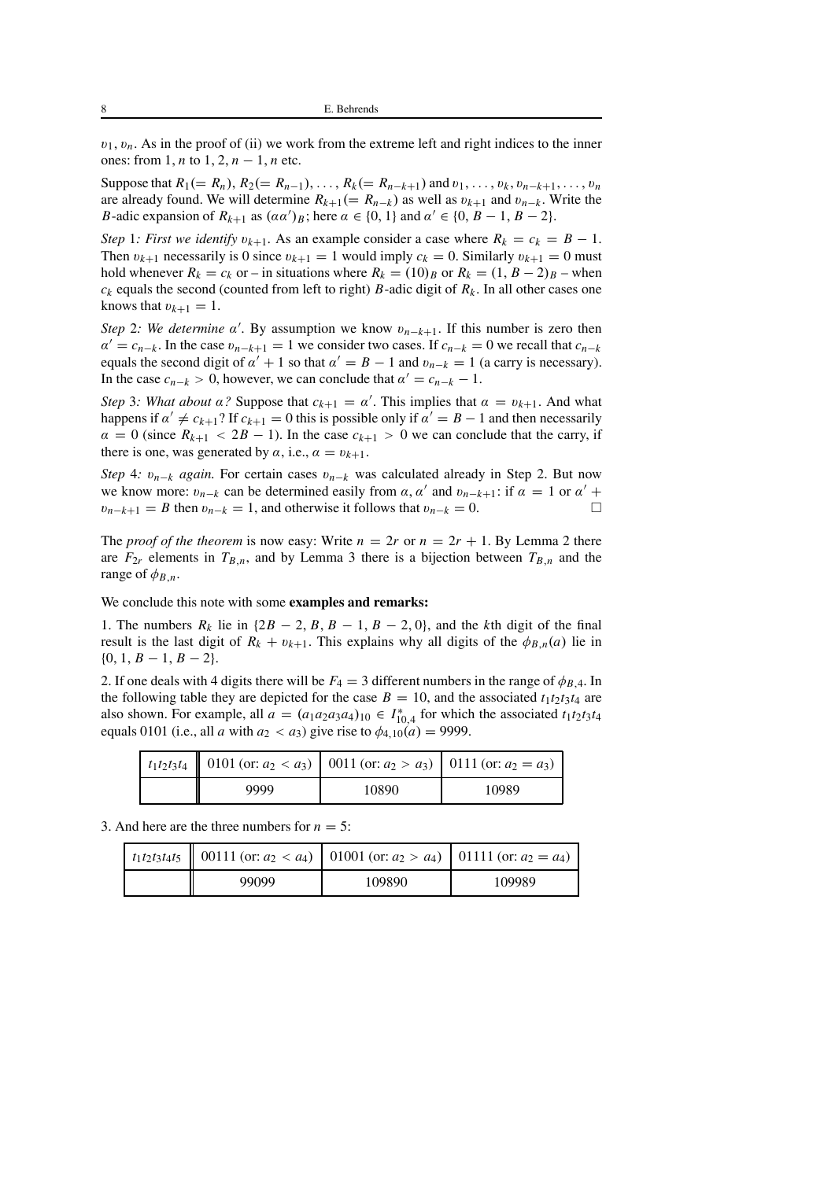$v_1, v_n$ . As in the proof of (ii) we work from the extreme left and right indices to the inner ones: from 1, *n* to 1, 2, *n* − 1, *n* etc.

Suppose that  $R_1 (= R_n)$ ,  $R_2 (= R_{n-1})$ , ...,  $R_k (= R_{n-k+1})$  and  $v_1, \ldots, v_k, v_{n-k+1}, \ldots, v_n$ are already found. We will determine  $R_{k+1} (= R_{n-k})$  as well as  $v_{k+1}$  and  $v_{n-k}$ . Write the *B*-adic expansion of  $R_{k+1}$  as  $(\alpha \alpha')_B$ ; here  $\alpha \in \{0, 1\}$  and  $\alpha' \in \{0, B-1, B-2\}$ .

*Step* 1*: First we identify*  $v_{k+1}$ . As an example consider a case where  $R_k = c_k = B - 1$ . Then  $v_{k+1}$  necessarily is 0 since  $v_{k+1} = 1$  would imply  $c_k = 0$ . Similarly  $v_{k+1} = 0$  must hold whenever  $R_k = c_k$  or – in situations where  $R_k = (10)_B$  or  $R_k = (1, B - 2)_B$  – when  $c_k$  equals the second (counted from left to right) *B*-adic digit of  $R_k$ . In all other cases one knows that  $v_{k+1} = 1$ .

*Step* 2*:* We determine  $\alpha'$ . By assumption we know  $v_{n-k+1}$ . If this number is zero then  $\alpha' = c_{n-k}$ . In the case  $v_{n-k+1} = 1$  we consider two cases. If  $c_{n-k} = 0$  we recall that  $c_{n-k}$ equals the second digit of  $\alpha' + 1$  so that  $\alpha' = B - 1$  and  $v_{n-k} = 1$  (a carry is necessary). In the case  $c_{n-k} > 0$ , however, we can conclude that  $\alpha' = c_{n-k} - 1$ .

*Step* 3*: What about*  $\alpha$ ? Suppose that  $c_{k+1} = \alpha'$ . This implies that  $\alpha = v_{k+1}$ . And what happens if  $\alpha' \neq c_{k+1}$ ? If  $c_{k+1} = 0$  this is possible only if  $\alpha' = B - 1$  and then necessarily  $\alpha = 0$  (since  $R_{k+1} < 2B - 1$ ). In the case  $c_{k+1} > 0$  we can conclude that the carry, if there is one, was generated by  $\alpha$ , i.e.,  $\alpha = v_{k+1}$ .

*Step* 4*:*  $v_{n-k}$  *again.* For certain cases  $v_{n-k}$  was calculated already in Step 2. But now we know more:  $v_{n-k}$  can be determined easily from  $\alpha$ ,  $\alpha'$  and  $v_{n-k+1}$ : if  $\alpha = 1$  or  $\alpha' +$  $v_{n-k+1} = B$  then  $v_{n-k} = 1$ , and otherwise it follows that  $v_{n-k} = 0$ .  $\Box$ 

The *proof of the theorem* is now easy: Write  $n = 2r$  or  $n = 2r + 1$ . By Lemma 2 there are  $F_{2r}$  elements in  $T_{B,n}$ , and by Lemma 3 there is a bijection between  $T_{B,n}$  and the range of  $\phi_{B,n}$ .

We conclude this note with some **examples and remarks:**

1. The numbers  $R_k$  lie in { $2B - 2$ ,  $B$ ,  $B - 1$ ,  $B - 2$ , 0}, and the *k*th digit of the final result is the last digit of  $R_k + v_{k+1}$ . This explains why all digits of the  $\phi_{B,n}(a)$  lie in  $\{0, 1, B-1, B-2\}.$ 

2. If one deals with 4 digits there will be  $F_4 = 3$  different numbers in the range of  $\phi_{B,4}$ . In the following table they are depicted for the case  $B = 10$ , and the associated  $t_1t_2t_3t_4$  are also shown. For example, all  $a = (a_1 a_2 a_3 a_4)_{10} \in I_{10,4}^*$  for which the associated  $t_1 t_2 t_3 t_4$ equals 0101 (i.e., all *a* with  $a_2 < a_3$ ) give rise to  $\phi_{4,10}(a) = 9999$ .

|  | $\mid t_1t_2t_3t_4 \mid$ 0101 (or: $a_2 < a_3$ ) 0011 (or: $a_2 > a_3$ ) 0111 (or: $a_2 = a_3$ ) |       |       |  |  |
|--|--------------------------------------------------------------------------------------------------|-------|-------|--|--|
|  | 9999                                                                                             | 10890 | 10989 |  |  |

3. And here are the three numbers for  $n = 5$ :

| $\mid t_1t_2t_3t_4t_5 \mid$ 00111 (or: $a_2 < a_4$ )   01001 (or: $a_2 > a_4$ )   01111 (or: $a_2 = a_4$ ) |        |        |  |
|------------------------------------------------------------------------------------------------------------|--------|--------|--|
| 99099                                                                                                      | 109890 | 109989 |  |